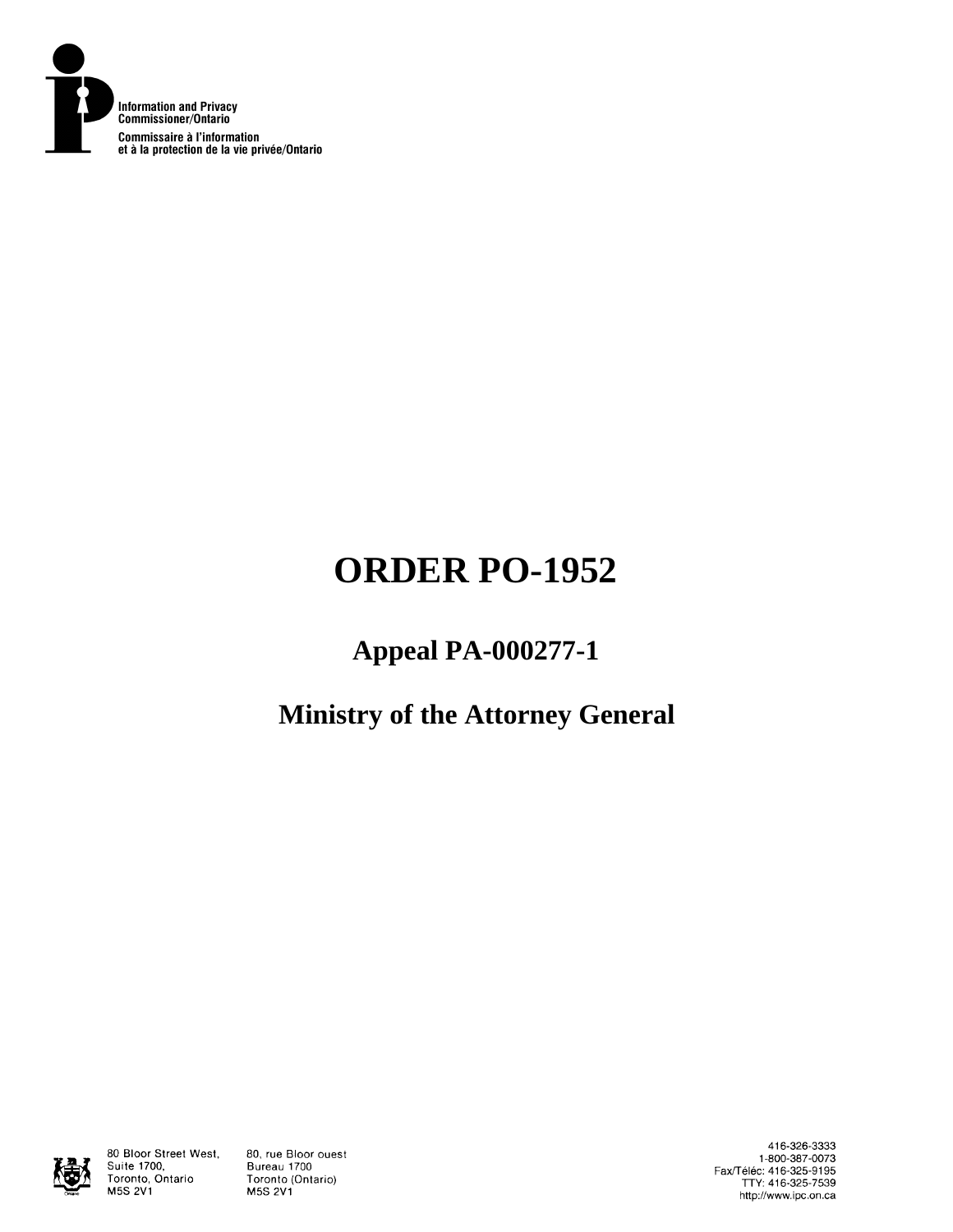

# **ORDER PO-1952**

# **Appeal PA-000277-1**

# **Ministry of the Attorney General**



80 Bloor Street West, Suite 1700, Toronto, Ontario **M5S 2V1** 

80, rue Bloor ouest Bureau 1700 Toronto (Ontario) **M5S 2V1** 

416-326-3333 1-800-387-0073 Fax/Téléc: 416-325-9195<br>TTY: 416-325-7539 http://www.ipc.on.ca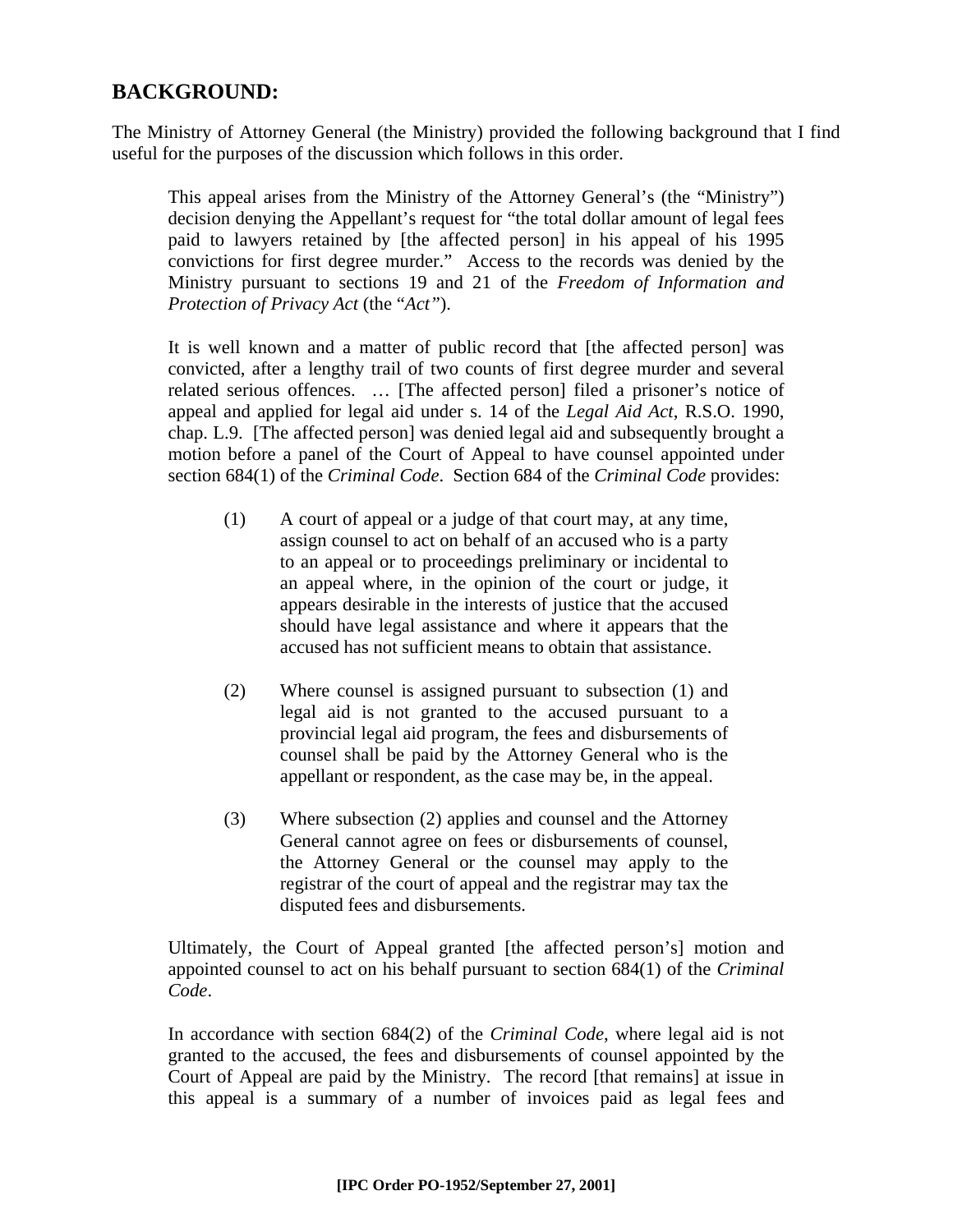# **BACKGROUND:**

The Ministry of Attorney General (the Ministry) provided the following background that I find useful for the purposes of the discussion which follows in this order.

This appeal arises from the Ministry of the Attorney General's (the "Ministry") decision denying the Appellant's request for "the total dollar amount of legal fees paid to lawyers retained by [the affected person] in his appeal of his 1995 convictions for first degree murder." Access to the records was denied by the Ministry pursuant to sections 19 and 21 of the *Freedom of Information and Protection of Privacy Act* (the "*Act"*).

It is well known and a matter of public record that [the affected person] was convicted, after a lengthy trail of two counts of first degree murder and several related serious offences. … [The affected person] filed a prisoner's notice of appeal and applied for legal aid under s. 14 of the *Legal Aid Act*, R.S.O. 1990, chap. L.9. [The affected person] was denied legal aid and subsequently brought a motion before a panel of the Court of Appeal to have counsel appointed under section 684(1) of the *Criminal Code*. Section 684 of the *Criminal Code* provides:

- (1) A court of appeal or a judge of that court may, at any time, assign counsel to act on behalf of an accused who is a party to an appeal or to proceedings preliminary or incidental to an appeal where, in the opinion of the court or judge, it appears desirable in the interests of justice that the accused should have legal assistance and where it appears that the accused has not sufficient means to obtain that assistance.
- (2) Where counsel is assigned pursuant to subsection (1) and legal aid is not granted to the accused pursuant to a provincial legal aid program, the fees and disbursements of counsel shall be paid by the Attorney General who is the appellant or respondent, as the case may be, in the appeal.
- (3) Where subsection (2) applies and counsel and the Attorney General cannot agree on fees or disbursements of counsel, the Attorney General or the counsel may apply to the registrar of the court of appeal and the registrar may tax the disputed fees and disbursements.

Ultimately, the Court of Appeal granted [the affected person's] motion and appointed counsel to act on his behalf pursuant to section 684(1) of the *Criminal Code*.

In accordance with section 684(2) of the *Criminal Code*, where legal aid is not granted to the accused, the fees and disbursements of counsel appointed by the Court of Appeal are paid by the Ministry. The record [that remains] at issue in this appeal is a summary of a number of invoices paid as legal fees and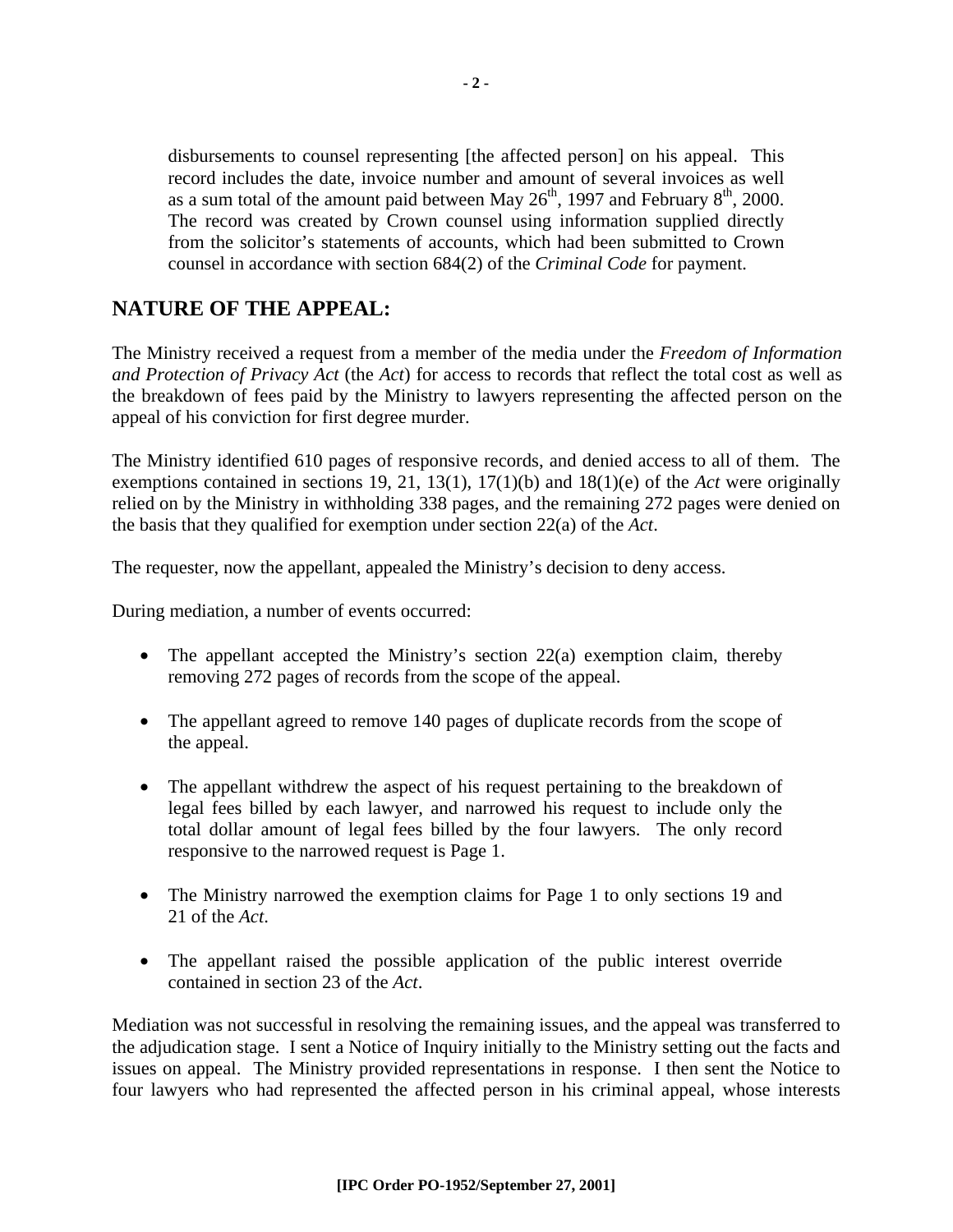disbursements to counsel representing [the affected person] on his appeal. This record includes the date, invoice number and amount of several invoices as well as a sum total of the amount paid between May  $26<sup>th</sup>$ , 1997 and February  $8<sup>th</sup>$ , 2000. The record was created by Crown counsel using information supplied directly from the solicitor's statements of accounts, which had been submitted to Crown counsel in accordance with section 684(2) of the *Criminal Code* for payment.

## **NATURE OF THE APPEAL:**

The Ministry received a request from a member of the media under the *Freedom of Information and Protection of Privacy Act* (the *Act*) for access to records that reflect the total cost as well as the breakdown of fees paid by the Ministry to lawyers representing the affected person on the appeal of his conviction for first degree murder.

The Ministry identified 610 pages of responsive records, and denied access to all of them. The exemptions contained in sections 19, 21, 13(1), 17(1)(b) and 18(1)(e) of the *Act* were originally relied on by the Ministry in withholding 338 pages, and the remaining 272 pages were denied on the basis that they qualified for exemption under section 22(a) of the *Act*.

The requester, now the appellant, appealed the Ministry's decision to deny access.

During mediation, a number of events occurred:

- The appellant accepted the Ministry's section 22(a) exemption claim, thereby removing 272 pages of records from the scope of the appeal.
- The appellant agreed to remove 140 pages of duplicate records from the scope of the appeal.
- The appellant withdrew the aspect of his request pertaining to the breakdown of legal fees billed by each lawyer, and narrowed his request to include only the total dollar amount of legal fees billed by the four lawyers. The only record responsive to the narrowed request is Page 1.
- The Ministry narrowed the exemption claims for Page 1 to only sections 19 and 21 of the *Act*.
- The appellant raised the possible application of the public interest override contained in section 23 of the *Act*.

Mediation was not successful in resolving the remaining issues, and the appeal was transferred to the adjudication stage. I sent a Notice of Inquiry initially to the Ministry setting out the facts and issues on appeal. The Ministry provided representations in response. I then sent the Notice to four lawyers who had represented the affected person in his criminal appeal, whose interests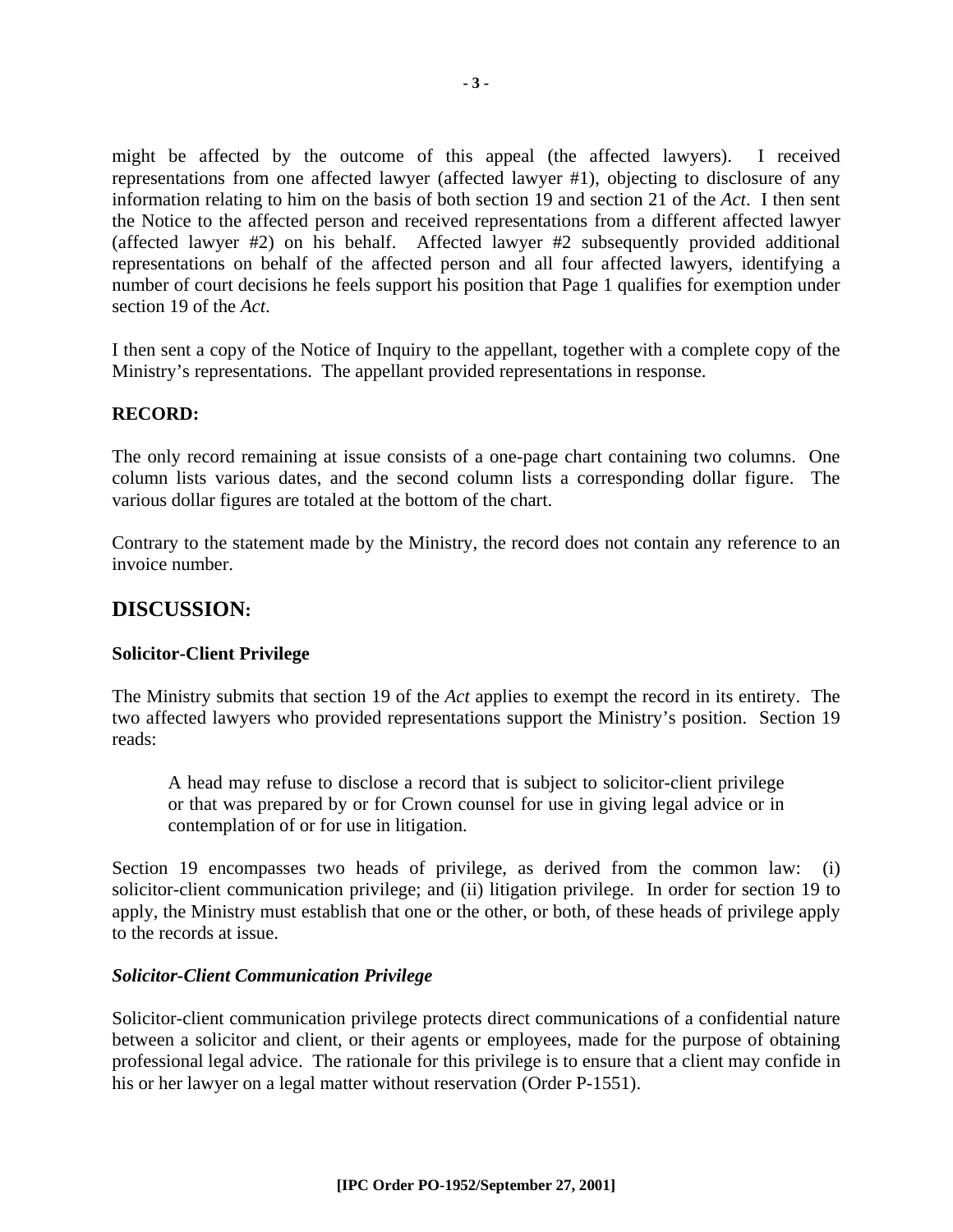might be affected by the outcome of this appeal (the affected lawyers). I received representations from one affected lawyer (affected lawyer #1), objecting to disclosure of any information relating to him on the basis of both section 19 and section 21 of the *Act*. I then sent the Notice to the affected person and received representations from a different affected lawyer (affected lawyer #2) on his behalf. Affected lawyer #2 subsequently provided additional representations on behalf of the affected person and all four affected lawyers, identifying a number of court decisions he feels support his position that Page 1 qualifies for exemption under section 19 of the *Act*.

I then sent a copy of the Notice of Inquiry to the appellant, together with a complete copy of the Ministry's representations. The appellant provided representations in response.

#### **RECORD:**

The only record remaining at issue consists of a one-page chart containing two columns. One column lists various dates, and the second column lists a corresponding dollar figure. The various dollar figures are totaled at the bottom of the chart.

Contrary to the statement made by the Ministry, the record does not contain any reference to an invoice number.

### **DISCUSSION:**

#### **Solicitor-Client Privilege**

The Ministry submits that section 19 of the *Act* applies to exempt the record in its entirety. The two affected lawyers who provided representations support the Ministry's position. Section 19 reads:

A head may refuse to disclose a record that is subject to solicitor-client privilege or that was prepared by or for Crown counsel for use in giving legal advice or in contemplation of or for use in litigation.

Section 19 encompasses two heads of privilege, as derived from the common law: (i) solicitor-client communication privilege; and (ii) litigation privilege. In order for section 19 to apply, the Ministry must establish that one or the other, or both, of these heads of privilege apply to the records at issue.

#### *Solicitor-Client Communication Privilege*

Solicitor-client communication privilege protects direct communications of a confidential nature between a solicitor and client, or their agents or employees, made for the purpose of obtaining professional legal advice. The rationale for this privilege is to ensure that a client may confide in his or her lawyer on a legal matter without reservation (Order P-1551).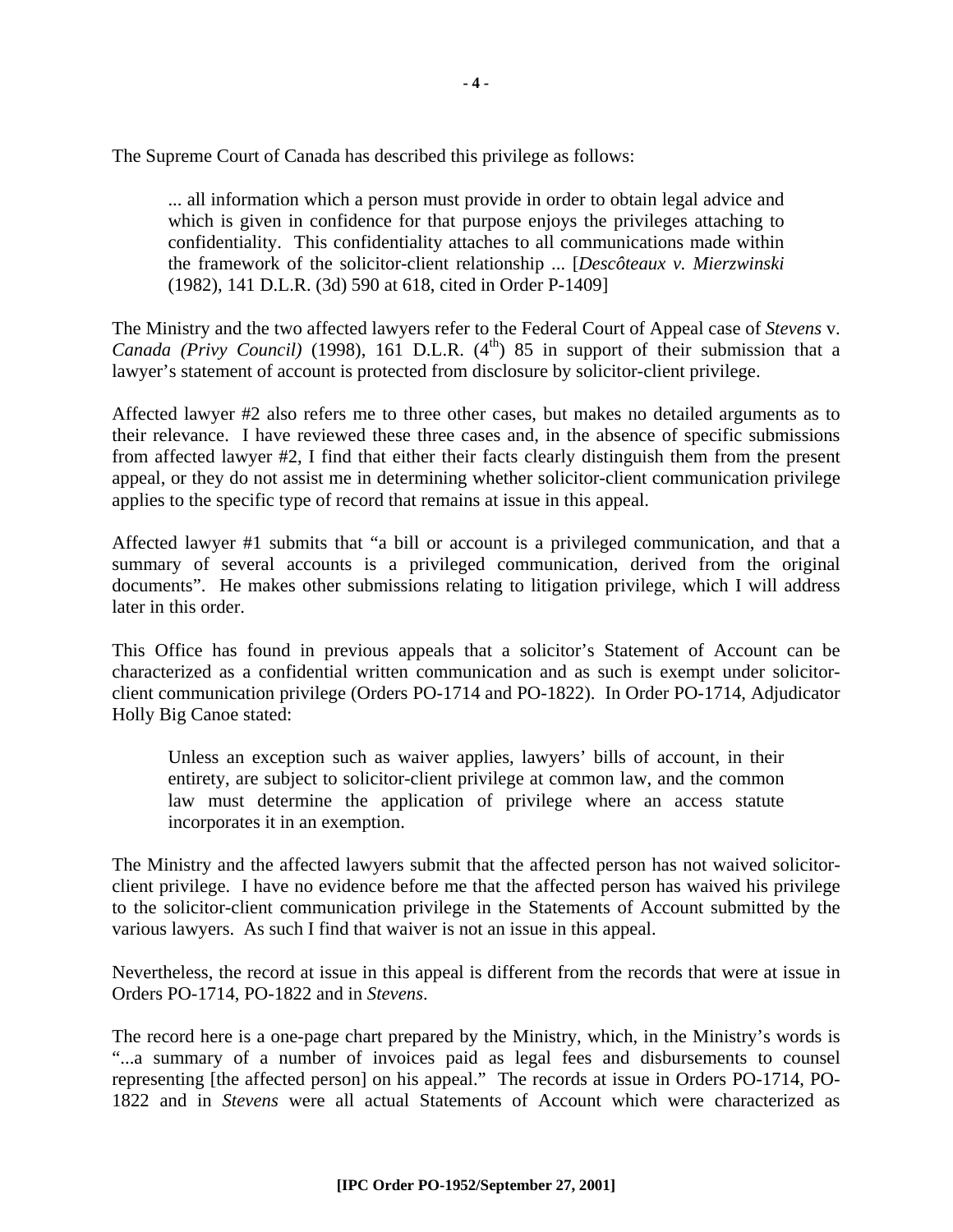The Supreme Court of Canada has described this privilege as follows:

... all information which a person must provide in order to obtain legal advice and which is given in confidence for that purpose enjoys the privileges attaching to confidentiality. This confidentiality attaches to all communications made within the framework of the solicitor-client relationship ... [*Descôteaux v. Mierzwinski* (1982), 141 D.L.R. (3d) 590 at 618, cited in Order P-1409]

The Ministry and the two affected lawyers refer to the Federal Court of Appeal case of *Stevens* v. *Canada (Privy Council)* (1998), 161 D.L.R.  $(4<sup>th</sup>)$  85 in support of their submission that a lawyer's statement of account is protected from disclosure by solicitor-client privilege.

Affected lawyer #2 also refers me to three other cases, but makes no detailed arguments as to their relevance. I have reviewed these three cases and, in the absence of specific submissions from affected lawyer #2, I find that either their facts clearly distinguish them from the present appeal, or they do not assist me in determining whether solicitor-client communication privilege applies to the specific type of record that remains at issue in this appeal.

Affected lawyer #1 submits that "a bill or account is a privileged communication, and that a summary of several accounts is a privileged communication, derived from the original documents". He makes other submissions relating to litigation privilege, which I will address later in this order.

This Office has found in previous appeals that a solicitor's Statement of Account can be characterized as a confidential written communication and as such is exempt under solicitorclient communication privilege (Orders PO-1714 and PO-1822). In Order PO-1714, Adjudicator Holly Big Canoe stated:

Unless an exception such as waiver applies, lawyers' bills of account, in their entirety, are subject to solicitor-client privilege at common law, and the common law must determine the application of privilege where an access statute incorporates it in an exemption.

The Ministry and the affected lawyers submit that the affected person has not waived solicitorclient privilege. I have no evidence before me that the affected person has waived his privilege to the solicitor-client communication privilege in the Statements of Account submitted by the various lawyers. As such I find that waiver is not an issue in this appeal.

Nevertheless, the record at issue in this appeal is different from the records that were at issue in Orders PO-1714, PO-1822 and in *Stevens*.

The record here is a one-page chart prepared by the Ministry, which, in the Ministry's words is "...a summary of a number of invoices paid as legal fees and disbursements to counsel representing [the affected person] on his appeal." The records at issue in Orders PO-1714, PO-1822 and in *Stevens* were all actual Statements of Account which were characterized as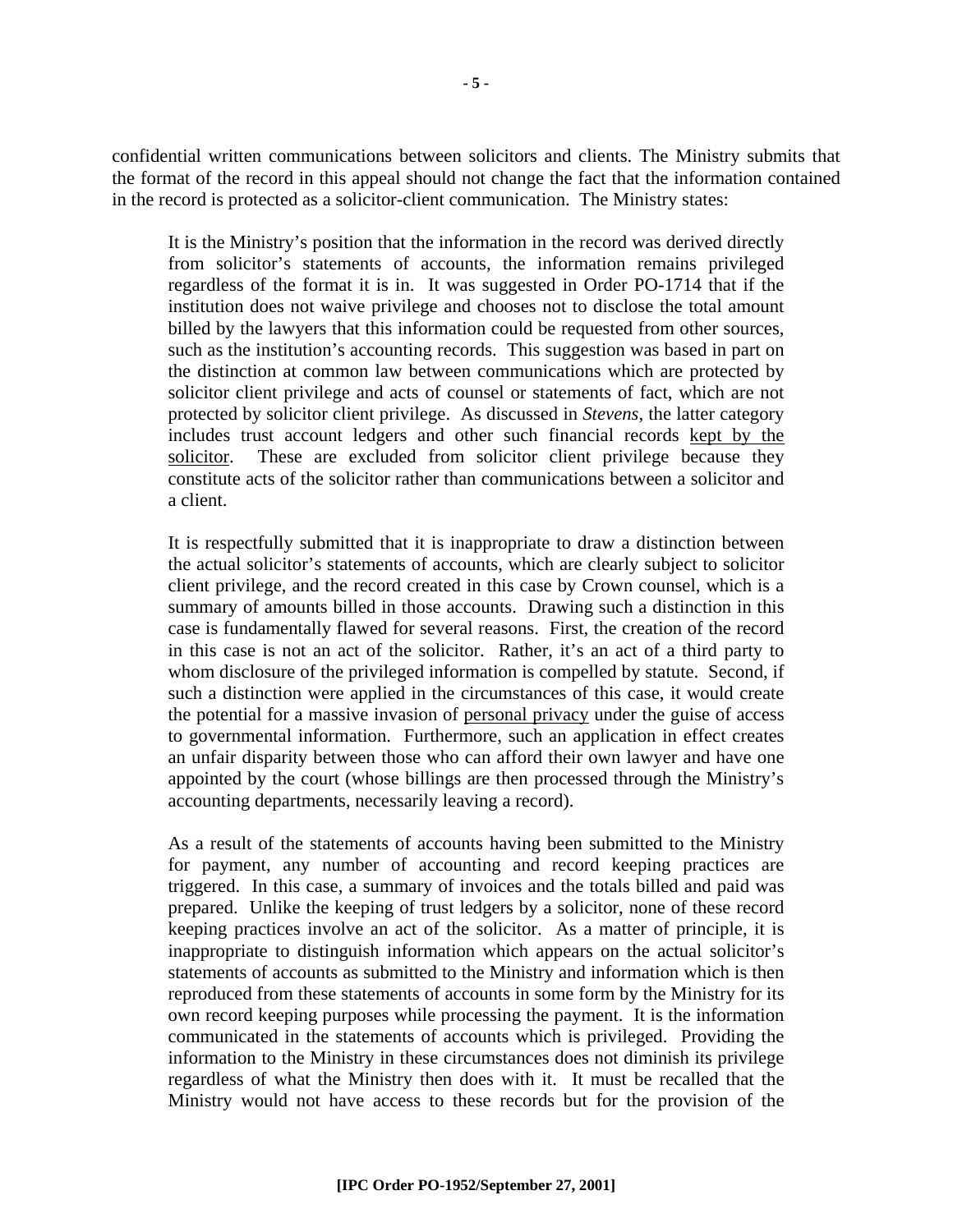confidential written communications between solicitors and clients. The Ministry submits that the format of the record in this appeal should not change the fact that the information contained in the record is protected as a solicitor-client communication. The Ministry states:

It is the Ministry's position that the information in the record was derived directly from solicitor's statements of accounts, the information remains privileged regardless of the format it is in. It was suggested in Order PO-1714 that if the institution does not waive privilege and chooses not to disclose the total amount billed by the lawyers that this information could be requested from other sources, such as the institution's accounting records. This suggestion was based in part on the distinction at common law between communications which are protected by solicitor client privilege and acts of counsel or statements of fact, which are not protected by solicitor client privilege. As discussed in *Stevens*, the latter category includes trust account ledgers and other such financial records kept by the solicitor. These are excluded from solicitor client privilege because they constitute acts of the solicitor rather than communications between a solicitor and a client.

It is respectfully submitted that it is inappropriate to draw a distinction between the actual solicitor's statements of accounts, which are clearly subject to solicitor client privilege, and the record created in this case by Crown counsel, which is a summary of amounts billed in those accounts. Drawing such a distinction in this case is fundamentally flawed for several reasons. First, the creation of the record in this case is not an act of the solicitor. Rather, it's an act of a third party to whom disclosure of the privileged information is compelled by statute. Second, if such a distinction were applied in the circumstances of this case, it would create the potential for a massive invasion of personal privacy under the guise of access to governmental information. Furthermore, such an application in effect creates an unfair disparity between those who can afford their own lawyer and have one appointed by the court (whose billings are then processed through the Ministry's accounting departments, necessarily leaving a record).

As a result of the statements of accounts having been submitted to the Ministry for payment, any number of accounting and record keeping practices are triggered. In this case, a summary of invoices and the totals billed and paid was prepared. Unlike the keeping of trust ledgers by a solicitor, none of these record keeping practices involve an act of the solicitor. As a matter of principle, it is inappropriate to distinguish information which appears on the actual solicitor's statements of accounts as submitted to the Ministry and information which is then reproduced from these statements of accounts in some form by the Ministry for its own record keeping purposes while processing the payment. It is the information communicated in the statements of accounts which is privileged. Providing the information to the Ministry in these circumstances does not diminish its privilege regardless of what the Ministry then does with it. It must be recalled that the Ministry would not have access to these records but for the provision of the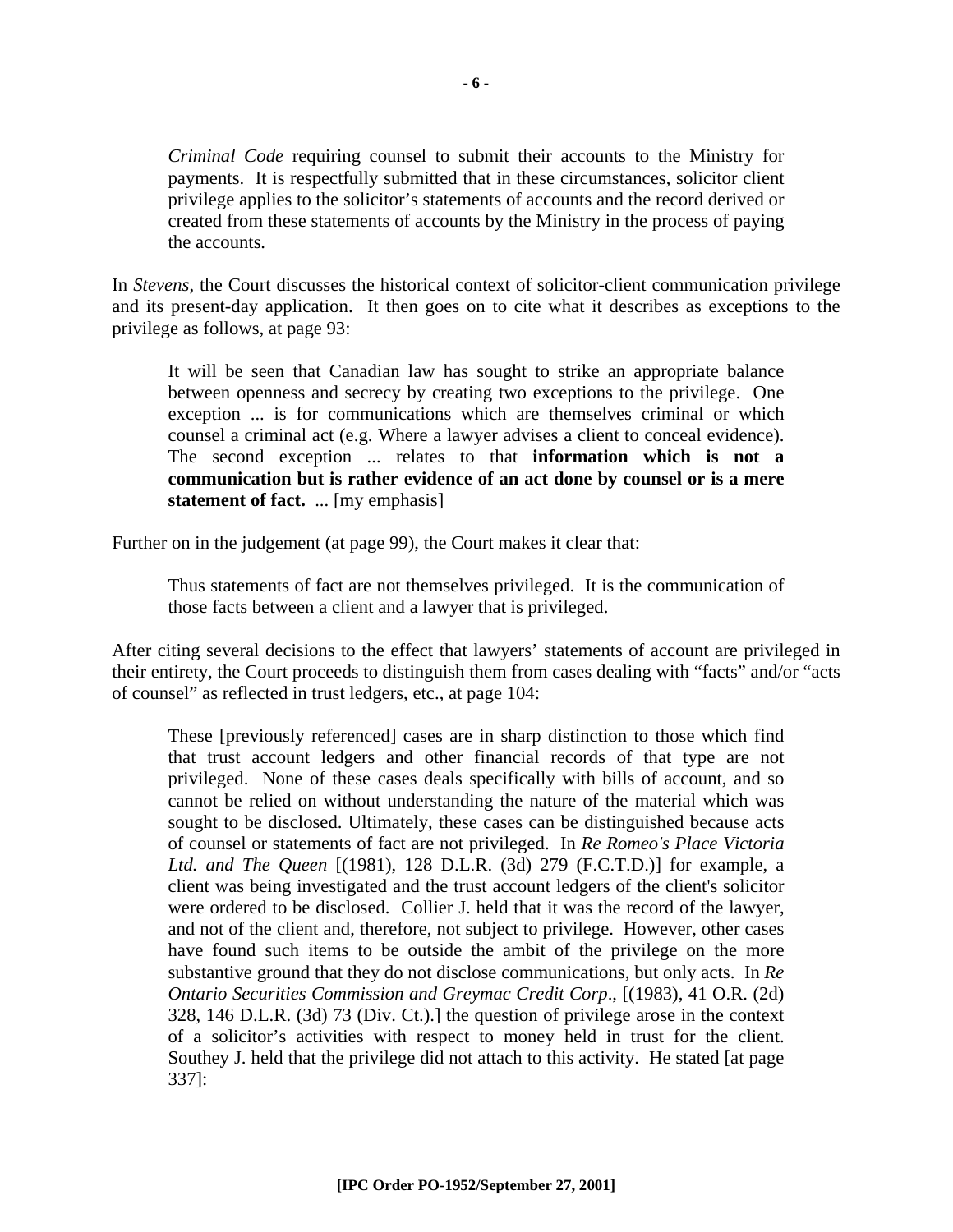*Criminal Code* requiring counsel to submit their accounts to the Ministry for payments. It is respectfully submitted that in these circumstances, solicitor client privilege applies to the solicitor's statements of accounts and the record derived or created from these statements of accounts by the Ministry in the process of paying the accounts.

In *Stevens*, the Court discusses the historical context of solicitor-client communication privilege and its present-day application. It then goes on to cite what it describes as exceptions to the privilege as follows, at page 93:

It will be seen that Canadian law has sought to strike an appropriate balance between openness and secrecy by creating two exceptions to the privilege. One exception ... is for communications which are themselves criminal or which counsel a criminal act (e.g. Where a lawyer advises a client to conceal evidence). The second exception ... relates to that **information which is not a communication but is rather evidence of an act done by counsel or is a mere statement of fact.** ... [my emphasis]

Further on in the judgement (at page 99), the Court makes it clear that:

Thus statements of fact are not themselves privileged. It is the communication of those facts between a client and a lawyer that is privileged.

After citing several decisions to the effect that lawyers' statements of account are privileged in their entirety, the Court proceeds to distinguish them from cases dealing with "facts" and/or "acts of counsel" as reflected in trust ledgers, etc., at page 104:

These [previously referenced] cases are in sharp distinction to those which find that trust account ledgers and other financial records of that type are not privileged. None of these cases deals specifically with bills of account, and so cannot be relied on without understanding the nature of the material which was sought to be disclosed. Ultimately, these cases can be distinguished because acts of counsel or statements of fact are not privileged. In *Re Romeo's Place Victoria Ltd. and The Queen* [(1981), 128 D.L.R. (3d) 279 (F.C.T.D.)] for example, a client was being investigated and the trust account ledgers of the client's solicitor were ordered to be disclosed. Collier J. held that it was the record of the lawyer, and not of the client and, therefore, not subject to privilege. However, other cases have found such items to be outside the ambit of the privilege on the more substantive ground that they do not disclose communications, but only acts. In *Re Ontario Securities Commission and Greymac Credit Corp*., [(1983), 41 O.R. (2d) 328, 146 D.L.R. (3d) 73 (Div. Ct.).] the question of privilege arose in the context of a solicitor's activities with respect to money held in trust for the client. Southey J. held that the privilege did not attach to this activity. He stated [at page 337]: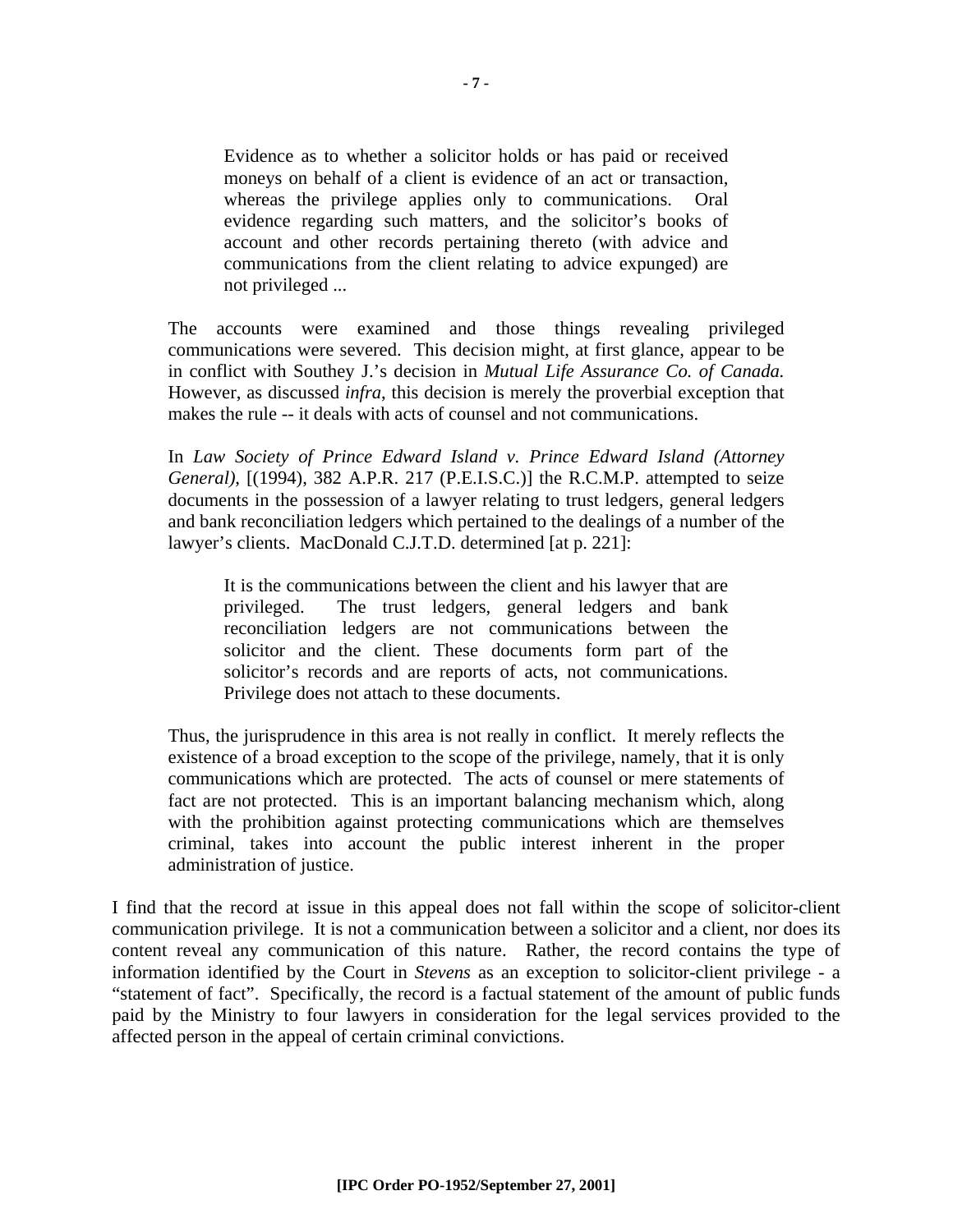Evidence as to whether a solicitor holds or has paid or received moneys on behalf of a client is evidence of an act or transaction, whereas the privilege applies only to communications. Oral evidence regarding such matters, and the solicitor's books of account and other records pertaining thereto (with advice and communications from the client relating to advice expunged) are not privileged ...

The accounts were examined and those things revealing privileged communications were severed. This decision might, at first glance, appear to be in conflict with Southey J.'s decision in *Mutual Life Assurance Co. of Canada.* However, as discussed *infra*, this decision is merely the proverbial exception that makes the rule -- it deals with acts of counsel and not communications.

In *Law Society of Prince Edward Island v. Prince Edward Island (Attorney General)*, [(1994), 382 A.P.R. 217 (P.E.I.S.C.)] the R.C.M.P. attempted to seize documents in the possession of a lawyer relating to trust ledgers, general ledgers and bank reconciliation ledgers which pertained to the dealings of a number of the lawyer's clients. MacDonald C.J.T.D. determined [at p. 221]:

It is the communications between the client and his lawyer that are privileged. The trust ledgers, general ledgers and bank reconciliation ledgers are not communications between the solicitor and the client. These documents form part of the solicitor's records and are reports of acts, not communications. Privilege does not attach to these documents.

Thus, the jurisprudence in this area is not really in conflict. It merely reflects the existence of a broad exception to the scope of the privilege, namely, that it is only communications which are protected. The acts of counsel or mere statements of fact are not protected. This is an important balancing mechanism which, along with the prohibition against protecting communications which are themselves criminal, takes into account the public interest inherent in the proper administration of justice.

I find that the record at issue in this appeal does not fall within the scope of solicitor-client communication privilege. It is not a communication between a solicitor and a client, nor does its content reveal any communication of this nature. Rather, the record contains the type of information identified by the Court in *Stevens* as an exception to solicitor-client privilege - a "statement of fact". Specifically, the record is a factual statement of the amount of public funds paid by the Ministry to four lawyers in consideration for the legal services provided to the affected person in the appeal of certain criminal convictions.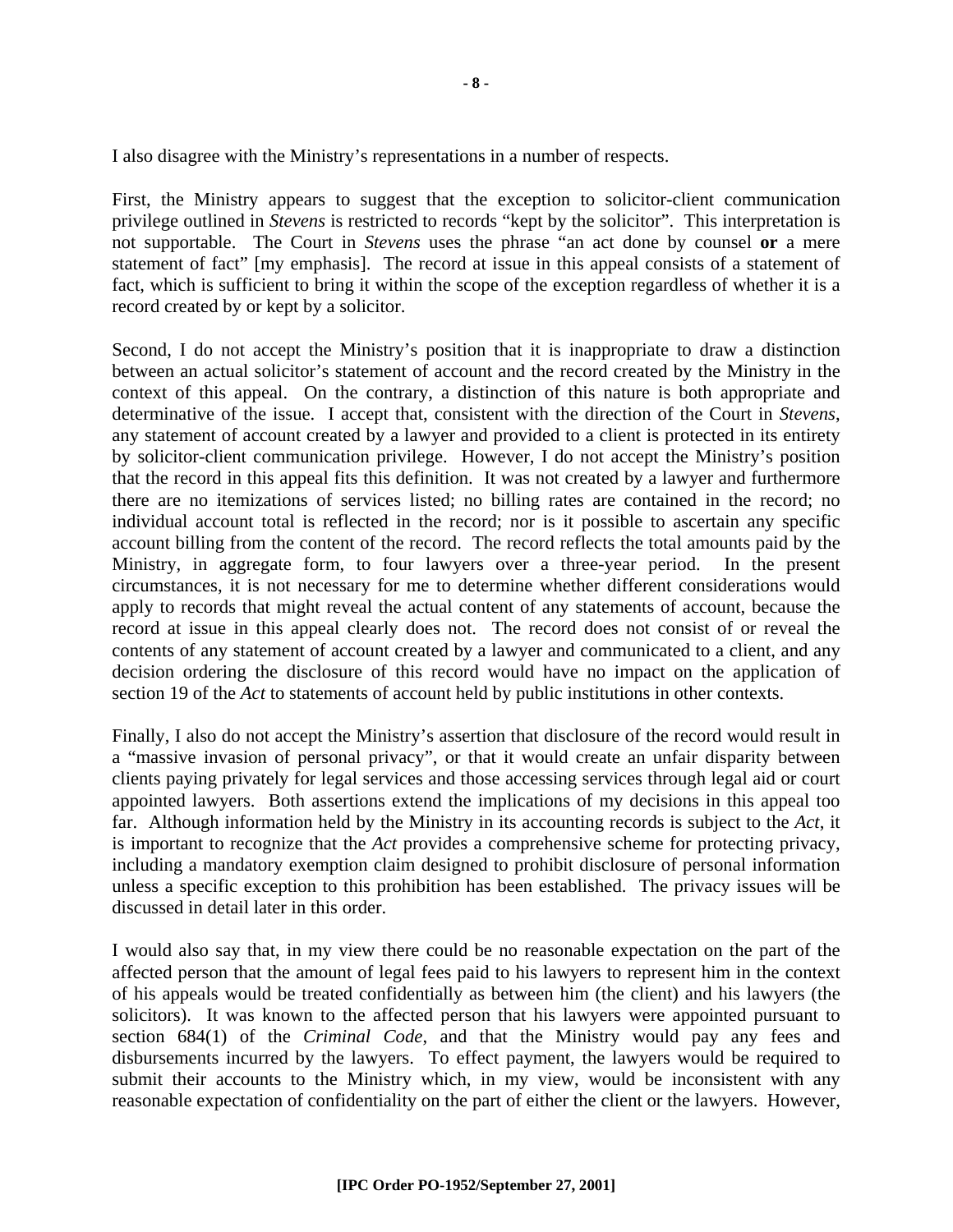I also disagree with the Ministry's representations in a number of respects.

First, the Ministry appears to suggest that the exception to solicitor-client communication privilege outlined in *Stevens* is restricted to records "kept by the solicitor". This interpretation is not supportable. The Court in *Stevens* uses the phrase "an act done by counsel **or** a mere statement of fact" [my emphasis]. The record at issue in this appeal consists of a statement of fact, which is sufficient to bring it within the scope of the exception regardless of whether it is a record created by or kept by a solicitor.

Second, I do not accept the Ministry's position that it is inappropriate to draw a distinction between an actual solicitor's statement of account and the record created by the Ministry in the context of this appeal. On the contrary, a distinction of this nature is both appropriate and determinative of the issue. I accept that, consistent with the direction of the Court in *Stevens*, any statement of account created by a lawyer and provided to a client is protected in its entirety by solicitor-client communication privilege. However, I do not accept the Ministry's position that the record in this appeal fits this definition. It was not created by a lawyer and furthermore there are no itemizations of services listed; no billing rates are contained in the record; no individual account total is reflected in the record; nor is it possible to ascertain any specific account billing from the content of the record. The record reflects the total amounts paid by the Ministry, in aggregate form, to four lawyers over a three-year period. In the present circumstances, it is not necessary for me to determine whether different considerations would apply to records that might reveal the actual content of any statements of account, because the record at issue in this appeal clearly does not. The record does not consist of or reveal the contents of any statement of account created by a lawyer and communicated to a client, and any decision ordering the disclosure of this record would have no impact on the application of section 19 of the *Act* to statements of account held by public institutions in other contexts.

Finally, I also do not accept the Ministry's assertion that disclosure of the record would result in a "massive invasion of personal privacy", or that it would create an unfair disparity between clients paying privately for legal services and those accessing services through legal aid or court appointed lawyers. Both assertions extend the implications of my decisions in this appeal too far. Although information held by the Ministry in its accounting records is subject to the *Act*, it is important to recognize that the *Act* provides a comprehensive scheme for protecting privacy, including a mandatory exemption claim designed to prohibit disclosure of personal information unless a specific exception to this prohibition has been established. The privacy issues will be discussed in detail later in this order.

I would also say that, in my view there could be no reasonable expectation on the part of the affected person that the amount of legal fees paid to his lawyers to represent him in the context of his appeals would be treated confidentially as between him (the client) and his lawyers (the solicitors). It was known to the affected person that his lawyers were appointed pursuant to section 684(1) of the *Criminal Code*, and that the Ministry would pay any fees and disbursements incurred by the lawyers. To effect payment, the lawyers would be required to submit their accounts to the Ministry which, in my view, would be inconsistent with any reasonable expectation of confidentiality on the part of either the client or the lawyers. However,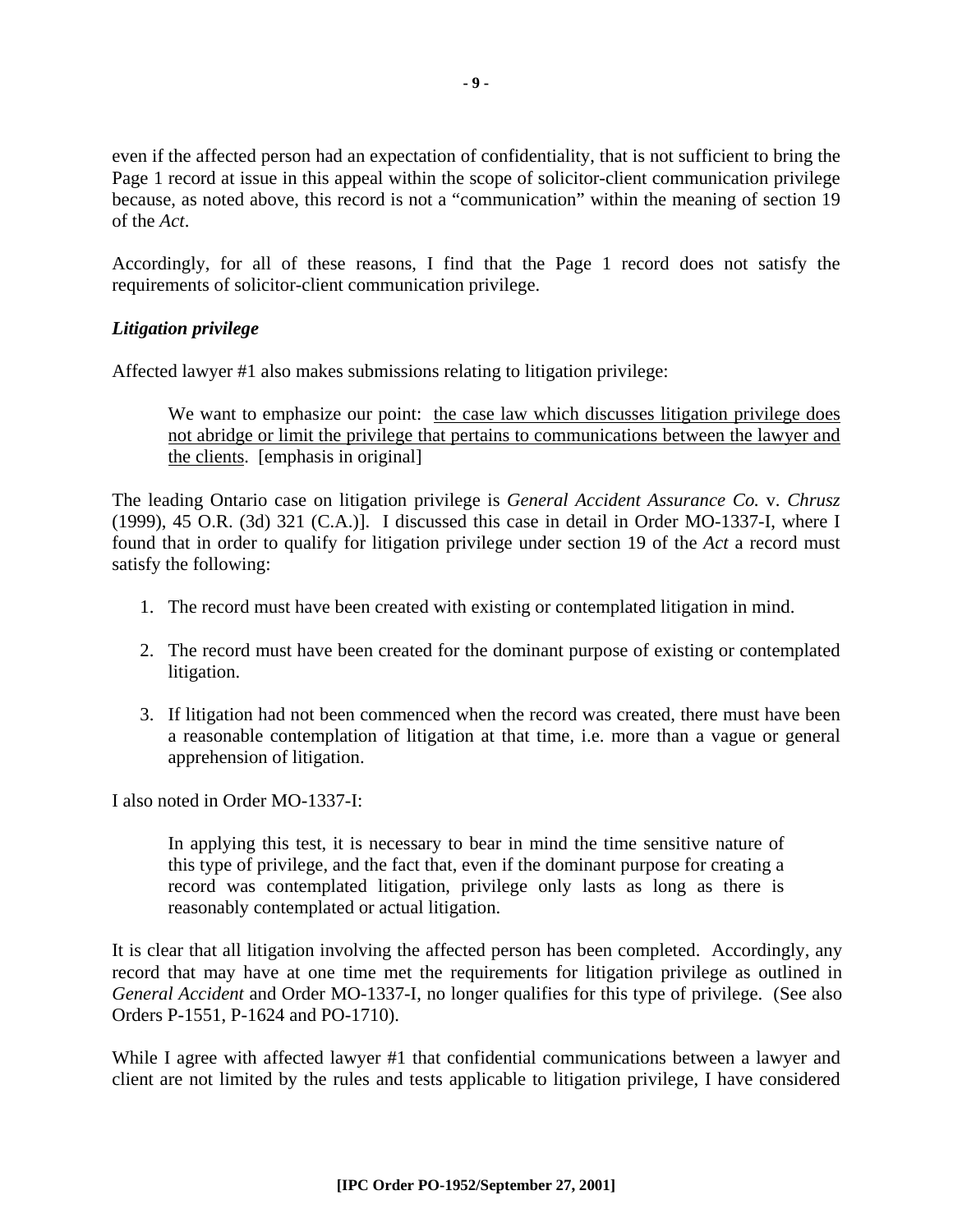even if the affected person had an expectation of confidentiality, that is not sufficient to bring the Page 1 record at issue in this appeal within the scope of solicitor-client communication privilege because, as noted above, this record is not a "communication" within the meaning of section 19 of the *Act*.

Accordingly, for all of these reasons, I find that the Page 1 record does not satisfy the requirements of solicitor-client communication privilege.

#### *Litigation privilege*

Affected lawyer #1 also makes submissions relating to litigation privilege:

We want to emphasize our point: the case law which discusses litigation privilege does not abridge or limit the privilege that pertains to communications between the lawyer and the clients. [emphasis in original]

The leading Ontario case on litigation privilege is *General Accident Assurance Co.* v. *Chrusz* (1999), 45 O.R. (3d) 321 (C.A.)]. I discussed this case in detail in Order MO-1337-I, where I found that in order to qualify for litigation privilege under section 19 of the *Act* a record must satisfy the following:

- 1. The record must have been created with existing or contemplated litigation in mind.
- 2. The record must have been created for the dominant purpose of existing or contemplated litigation.
- 3. If litigation had not been commenced when the record was created, there must have been a reasonable contemplation of litigation at that time, i.e. more than a vague or general apprehension of litigation.

I also noted in Order MO-1337-I:

In applying this test, it is necessary to bear in mind the time sensitive nature of this type of privilege, and the fact that, even if the dominant purpose for creating a record was contemplated litigation, privilege only lasts as long as there is reasonably contemplated or actual litigation.

It is clear that all litigation involving the affected person has been completed. Accordingly, any record that may have at one time met the requirements for litigation privilege as outlined in *General Accident* and Order MO-1337-I, no longer qualifies for this type of privilege. (See also Orders P-1551, P-1624 and PO-1710).

While I agree with affected lawyer #1 that confidential communications between a lawyer and client are not limited by the rules and tests applicable to litigation privilege, I have considered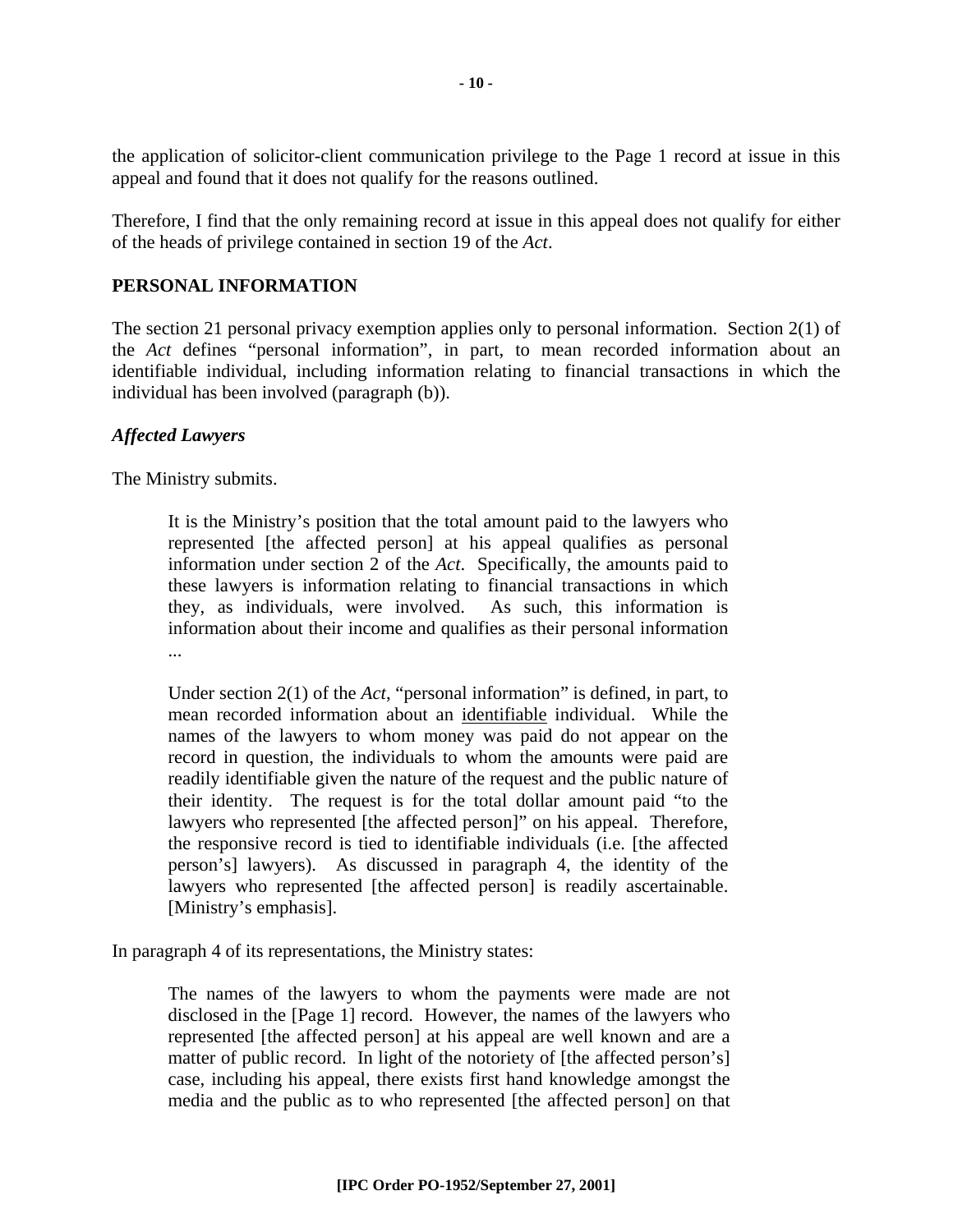the application of solicitor-client communication privilege to the Page 1 record at issue in this appeal and found that it does not qualify for the reasons outlined.

Therefore, I find that the only remaining record at issue in this appeal does not qualify for either of the heads of privilege contained in section 19 of the *Act*.

#### **PERSONAL INFORMATION**

The section 21 personal privacy exemption applies only to personal information. Section 2(1) of the *Act* defines "personal information", in part, to mean recorded information about an identifiable individual, including information relating to financial transactions in which the individual has been involved (paragraph (b)).

#### *Affected Lawyers*

The Ministry submits.

It is the Ministry's position that the total amount paid to the lawyers who represented [the affected person] at his appeal qualifies as personal information under section 2 of the *Act*. Specifically, the amounts paid to these lawyers is information relating to financial transactions in which they, as individuals, were involved. As such, this information is information about their income and qualifies as their personal information ...

Under section 2(1) of the *Act*, "personal information" is defined, in part, to mean recorded information about an identifiable individual. While the names of the lawyers to whom money was paid do not appear on the record in question, the individuals to whom the amounts were paid are readily identifiable given the nature of the request and the public nature of their identity. The request is for the total dollar amount paid "to the lawyers who represented [the affected person]" on his appeal. Therefore, the responsive record is tied to identifiable individuals (i.e. [the affected person's] lawyers). As discussed in paragraph 4, the identity of the lawyers who represented [the affected person] is readily ascertainable. [Ministry's emphasis].

In paragraph 4 of its representations, the Ministry states:

The names of the lawyers to whom the payments were made are not disclosed in the [Page 1] record. However, the names of the lawyers who represented [the affected person] at his appeal are well known and are a matter of public record. In light of the notoriety of [the affected person's] case, including his appeal, there exists first hand knowledge amongst the media and the public as to who represented [the affected person] on that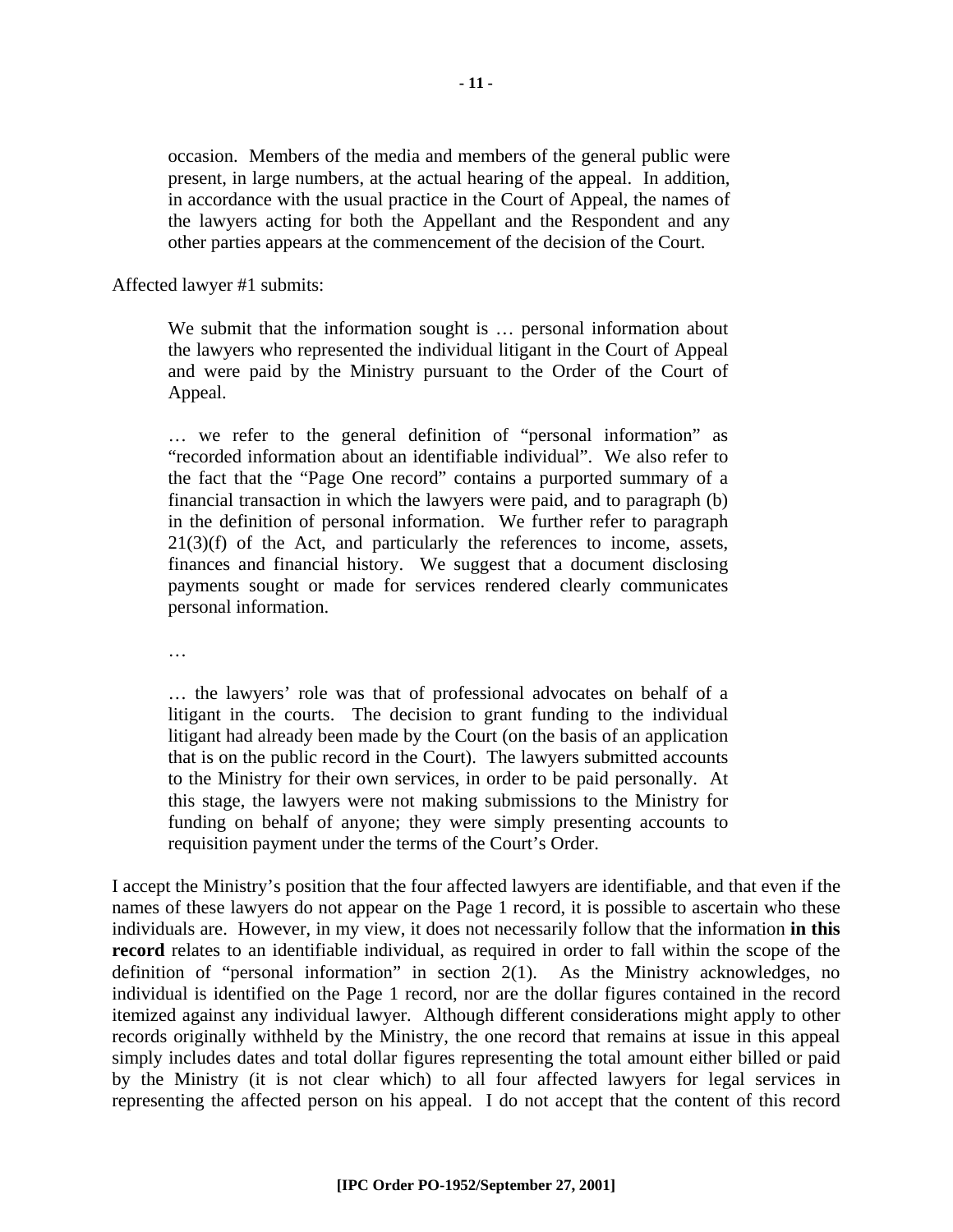occasion. Members of the media and members of the general public were present, in large numbers, at the actual hearing of the appeal. In addition, in accordance with the usual practice in the Court of Appeal, the names of the lawyers acting for both the Appellant and the Respondent and any other parties appears at the commencement of the decision of the Court.

Affected lawyer #1 submits:

We submit that the information sought is ... personal information about the lawyers who represented the individual litigant in the Court of Appeal and were paid by the Ministry pursuant to the Order of the Court of Appeal.

… we refer to the general definition of "personal information" as "recorded information about an identifiable individual". We also refer to the fact that the "Page One record" contains a purported summary of a financial transaction in which the lawyers were paid, and to paragraph (b) in the definition of personal information. We further refer to paragraph 21(3)(f) of the Act, and particularly the references to income, assets, finances and financial history. We suggest that a document disclosing payments sought or made for services rendered clearly communicates personal information.

…

… the lawyers' role was that of professional advocates on behalf of a litigant in the courts. The decision to grant funding to the individual litigant had already been made by the Court (on the basis of an application that is on the public record in the Court). The lawyers submitted accounts to the Ministry for their own services, in order to be paid personally. At this stage, the lawyers were not making submissions to the Ministry for funding on behalf of anyone; they were simply presenting accounts to requisition payment under the terms of the Court's Order.

I accept the Ministry's position that the four affected lawyers are identifiable, and that even if the names of these lawyers do not appear on the Page 1 record, it is possible to ascertain who these individuals are. However, in my view, it does not necessarily follow that the information **in this record** relates to an identifiable individual, as required in order to fall within the scope of the definition of "personal information" in section 2(1). As the Ministry acknowledges, no individual is identified on the Page 1 record, nor are the dollar figures contained in the record itemized against any individual lawyer. Although different considerations might apply to other records originally withheld by the Ministry, the one record that remains at issue in this appeal simply includes dates and total dollar figures representing the total amount either billed or paid by the Ministry (it is not clear which) to all four affected lawyers for legal services in representing the affected person on his appeal. I do not accept that the content of this record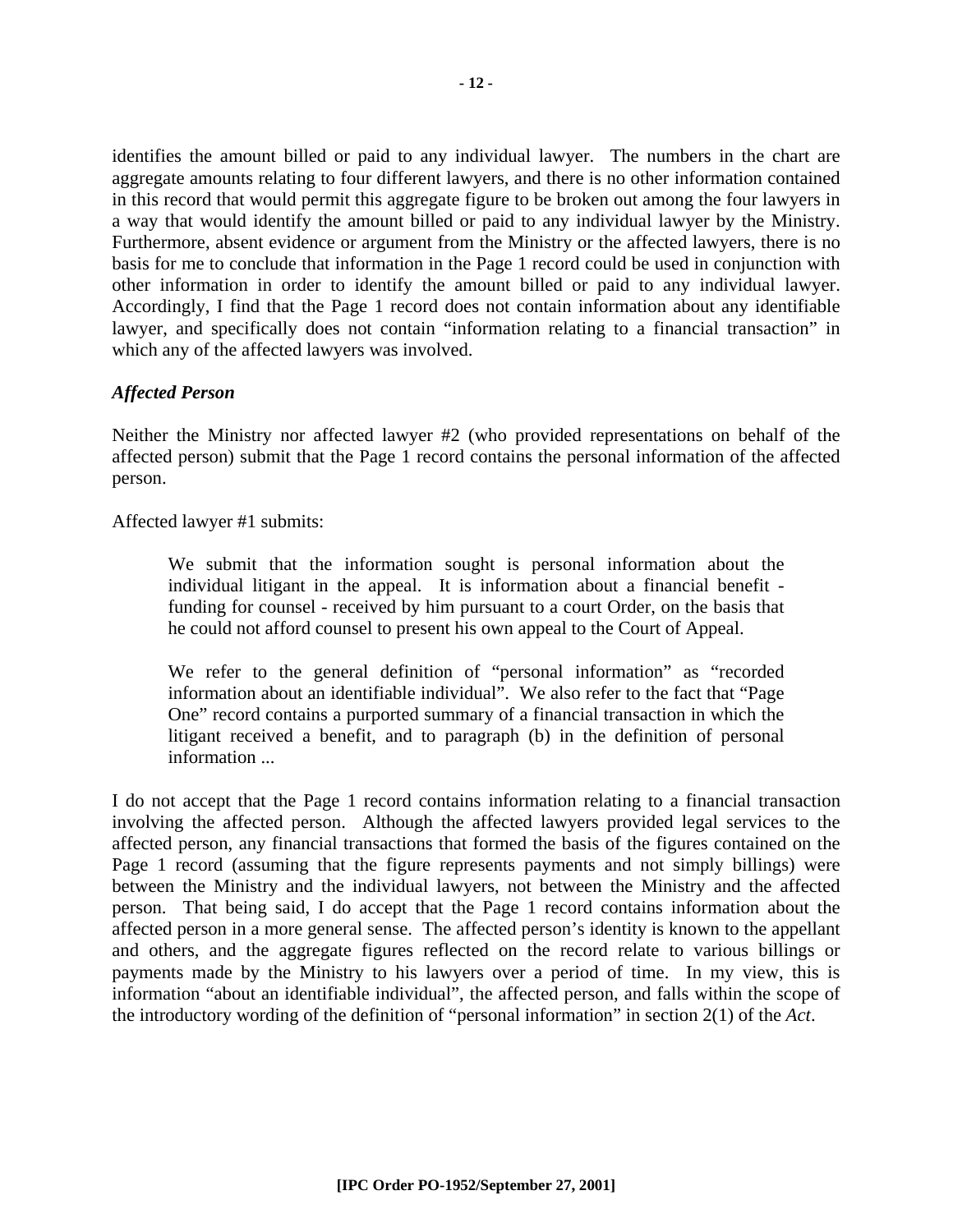identifies the amount billed or paid to any individual lawyer. The numbers in the chart are aggregate amounts relating to four different lawyers, and there is no other information contained in this record that would permit this aggregate figure to be broken out among the four lawyers in a way that would identify the amount billed or paid to any individual lawyer by the Ministry. Furthermore, absent evidence or argument from the Ministry or the affected lawyers, there is no basis for me to conclude that information in the Page 1 record could be used in conjunction with other information in order to identify the amount billed or paid to any individual lawyer. Accordingly, I find that the Page 1 record does not contain information about any identifiable lawyer, and specifically does not contain "information relating to a financial transaction" in which any of the affected lawyers was involved.

#### *Affected Person*

Neither the Ministry nor affected lawyer #2 (who provided representations on behalf of the affected person) submit that the Page 1 record contains the personal information of the affected person.

Affected lawyer #1 submits:

We submit that the information sought is personal information about the individual litigant in the appeal. It is information about a financial benefit funding for counsel - received by him pursuant to a court Order, on the basis that he could not afford counsel to present his own appeal to the Court of Appeal.

We refer to the general definition of "personal information" as "recorded information about an identifiable individual". We also refer to the fact that "Page One" record contains a purported summary of a financial transaction in which the litigant received a benefit, and to paragraph (b) in the definition of personal information ...

I do not accept that the Page 1 record contains information relating to a financial transaction involving the affected person. Although the affected lawyers provided legal services to the affected person, any financial transactions that formed the basis of the figures contained on the Page 1 record (assuming that the figure represents payments and not simply billings) were between the Ministry and the individual lawyers, not between the Ministry and the affected person. That being said, I do accept that the Page 1 record contains information about the affected person in a more general sense. The affected person's identity is known to the appellant and others, and the aggregate figures reflected on the record relate to various billings or payments made by the Ministry to his lawyers over a period of time. In my view, this is information "about an identifiable individual", the affected person, and falls within the scope of the introductory wording of the definition of "personal information" in section 2(1) of the *Act*.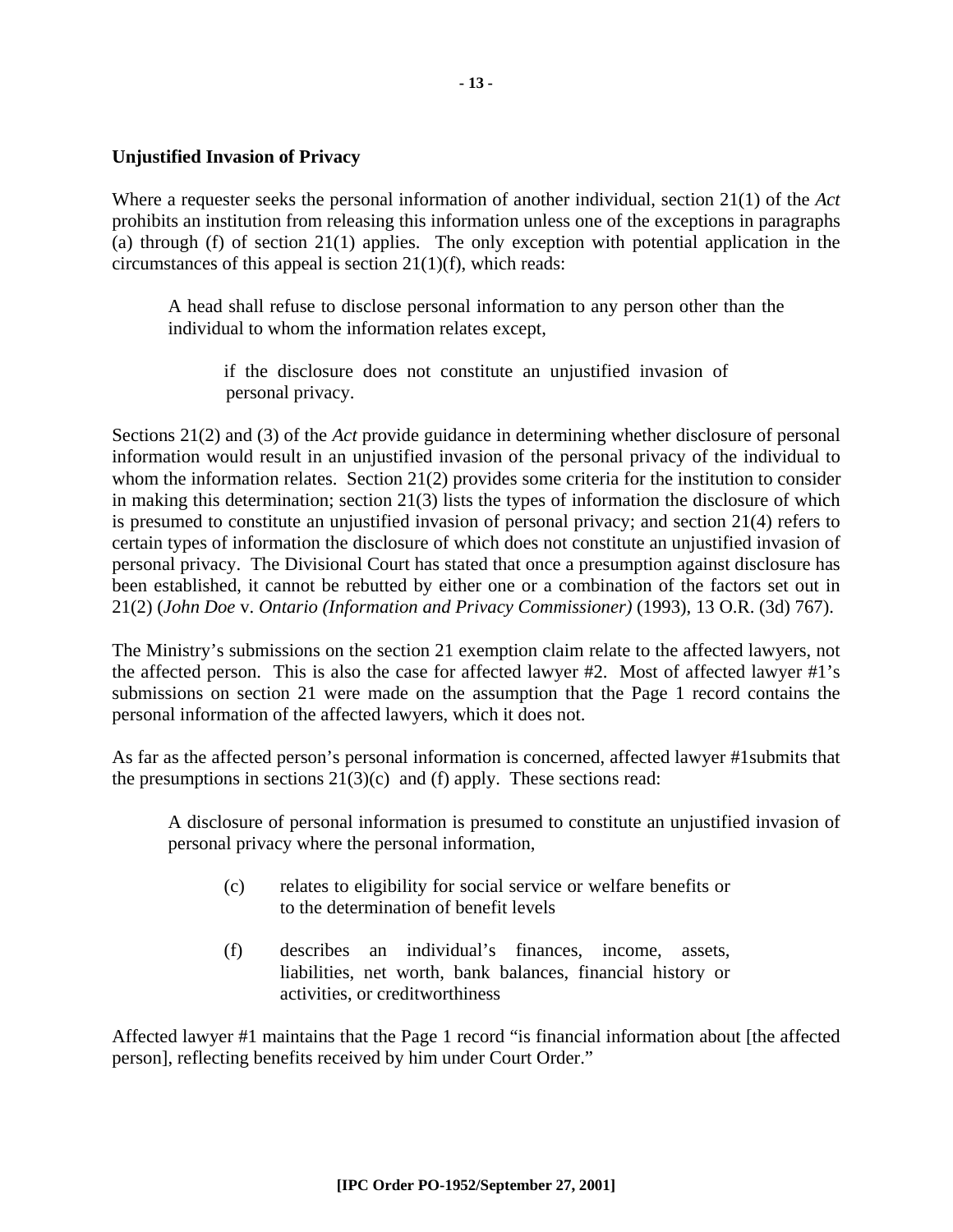#### **Unjustified Invasion of Privacy**

Where a requester seeks the personal information of another individual, section 21(1) of the *Act* prohibits an institution from releasing this information unless one of the exceptions in paragraphs (a) through (f) of section 21(1) applies. The only exception with potential application in the circumstances of this appeal is section 21(1)(f), which reads:

A head shall refuse to disclose personal information to any person other than the individual to whom the information relates except,

if the disclosure does not constitute an unjustified invasion of personal privacy.

Sections 21(2) and (3) of the *Act* provide guidance in determining whether disclosure of personal information would result in an unjustified invasion of the personal privacy of the individual to whom the information relates. Section 21(2) provides some criteria for the institution to consider in making this determination; section 21(3) lists the types of information the disclosure of which is presumed to constitute an unjustified invasion of personal privacy; and section 21(4) refers to certain types of information the disclosure of which does not constitute an unjustified invasion of personal privacy. The Divisional Court has stated that once a presumption against disclosure has been established, it cannot be rebutted by either one or a combination of the factors set out in 21(2) (*John Doe* v. *Ontario (Information and Privacy Commissioner)* (1993), 13 O.R. (3d) 767).

The Ministry's submissions on the section 21 exemption claim relate to the affected lawyers, not the affected person. This is also the case for affected lawyer #2. Most of affected lawyer #1's submissions on section 21 were made on the assumption that the Page 1 record contains the personal information of the affected lawyers, which it does not.

As far as the affected person's personal information is concerned, affected lawyer #1submits that the presumptions in sections  $21(3)(c)$  and (f) apply. These sections read:

A disclosure of personal information is presumed to constitute an unjustified invasion of personal privacy where the personal information,

- (c) relates to eligibility for social service or welfare benefits or to the determination of benefit levels
- (f) describes an individual's finances, income, assets, liabilities, net worth, bank balances, financial history or activities, or creditworthiness

Affected lawyer #1 maintains that the Page 1 record "is financial information about [the affected person], reflecting benefits received by him under Court Order."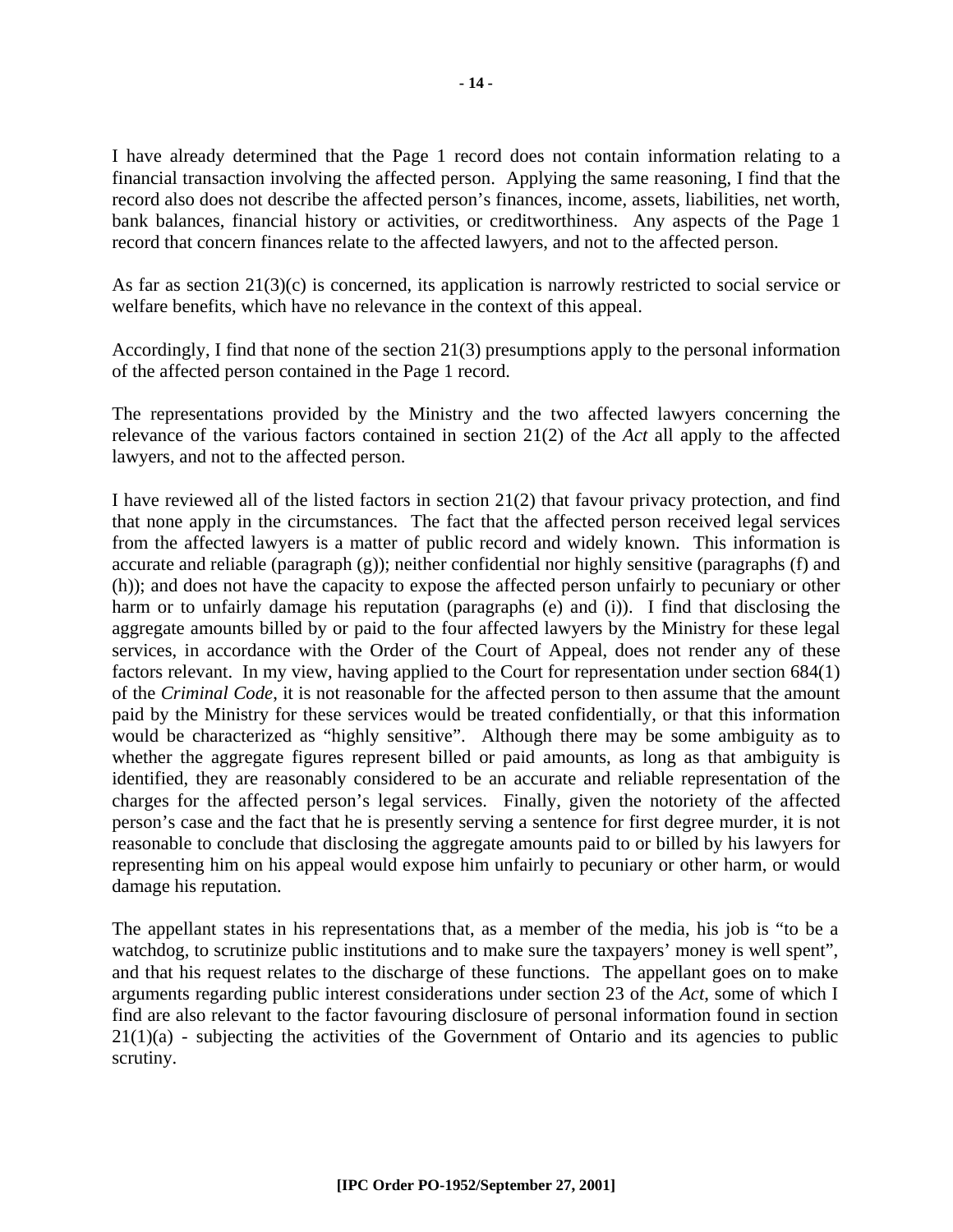I have already determined that the Page 1 record does not contain information relating to a financial transaction involving the affected person. Applying the same reasoning, I find that the record also does not describe the affected person's finances, income, assets, liabilities, net worth, bank balances, financial history or activities, or creditworthiness. Any aspects of the Page 1 record that concern finances relate to the affected lawyers, and not to the affected person.

As far as section 21(3)(c) is concerned, its application is narrowly restricted to social service or welfare benefits, which have no relevance in the context of this appeal.

Accordingly, I find that none of the section 21(3) presumptions apply to the personal information of the affected person contained in the Page 1 record.

The representations provided by the Ministry and the two affected lawyers concerning the relevance of the various factors contained in section 21(2) of the *Act* all apply to the affected lawyers, and not to the affected person.

I have reviewed all of the listed factors in section 21(2) that favour privacy protection, and find that none apply in the circumstances. The fact that the affected person received legal services from the affected lawyers is a matter of public record and widely known. This information is accurate and reliable (paragraph (g)); neither confidential nor highly sensitive (paragraphs (f) and (h)); and does not have the capacity to expose the affected person unfairly to pecuniary or other harm or to unfairly damage his reputation (paragraphs (e) and (i)). I find that disclosing the aggregate amounts billed by or paid to the four affected lawyers by the Ministry for these legal services, in accordance with the Order of the Court of Appeal, does not render any of these factors relevant. In my view, having applied to the Court for representation under section 684(1) of the *Criminal Code*, it is not reasonable for the affected person to then assume that the amount paid by the Ministry for these services would be treated confidentially, or that this information would be characterized as "highly sensitive". Although there may be some ambiguity as to whether the aggregate figures represent billed or paid amounts, as long as that ambiguity is identified, they are reasonably considered to be an accurate and reliable representation of the charges for the affected person's legal services. Finally, given the notoriety of the affected person's case and the fact that he is presently serving a sentence for first degree murder, it is not reasonable to conclude that disclosing the aggregate amounts paid to or billed by his lawyers for representing him on his appeal would expose him unfairly to pecuniary or other harm, or would damage his reputation.

The appellant states in his representations that, as a member of the media, his job is "to be a watchdog, to scrutinize public institutions and to make sure the taxpayers' money is well spent", and that his request relates to the discharge of these functions. The appellant goes on to make arguments regarding public interest considerations under section 23 of the *Act*, some of which I find are also relevant to the factor favouring disclosure of personal information found in section 21(1)(a) - subjecting the activities of the Government of Ontario and its agencies to public scrutiny.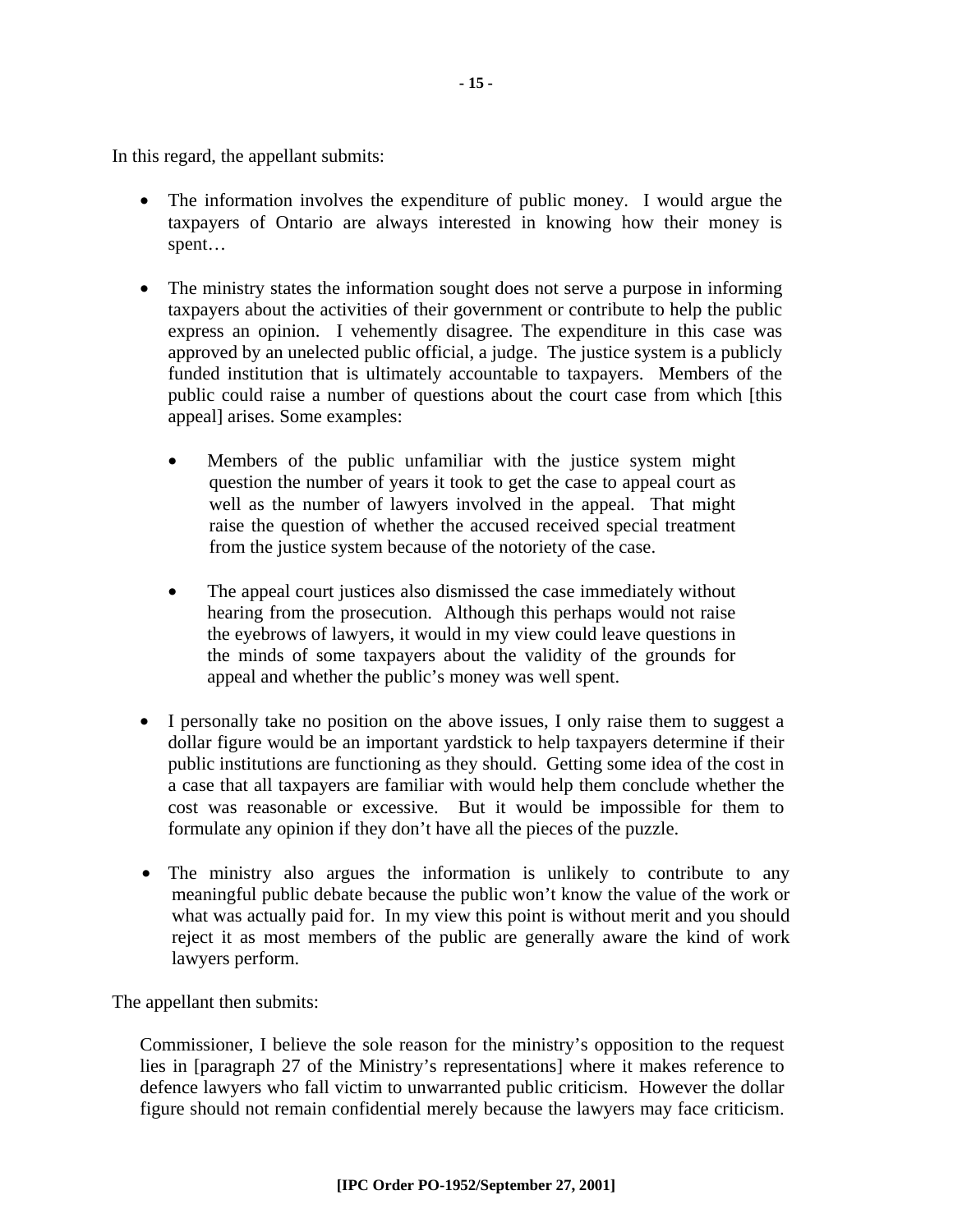In this regard, the appellant submits:

- The information involves the expenditure of public money. I would argue the taxpayers of Ontario are always interested in knowing how their money is spent…
- The ministry states the information sought does not serve a purpose in informing taxpayers about the activities of their government or contribute to help the public express an opinion. I vehemently disagree. The expenditure in this case was approved by an unelected public official, a judge. The justice system is a publicly funded institution that is ultimately accountable to taxpayers. Members of the public could raise a number of questions about the court case from which [this appeal] arises. Some examples:
	- Members of the public unfamiliar with the justice system might question the number of years it took to get the case to appeal court as well as the number of lawyers involved in the appeal. That might raise the question of whether the accused received special treatment from the justice system because of the notoriety of the case.
	- The appeal court justices also dismissed the case immediately without hearing from the prosecution. Although this perhaps would not raise the eyebrows of lawyers, it would in my view could leave questions in the minds of some taxpayers about the validity of the grounds for appeal and whether the public's money was well spent.
- I personally take no position on the above issues, I only raise them to suggest a dollar figure would be an important yardstick to help taxpayers determine if their public institutions are functioning as they should. Getting some idea of the cost in a case that all taxpayers are familiar with would help them conclude whether the cost was reasonable or excessive. But it would be impossible for them to formulate any opinion if they don't have all the pieces of the puzzle.
- The ministry also argues the information is unlikely to contribute to any meaningful public debate because the public won't know the value of the work or what was actually paid for. In my view this point is without merit and you should reject it as most members of the public are generally aware the kind of work lawyers perform.

The appellant then submits:

Commissioner, I believe the sole reason for the ministry's opposition to the request lies in [paragraph 27 of the Ministry's representations] where it makes reference to defence lawyers who fall victim to unwarranted public criticism. However the dollar figure should not remain confidential merely because the lawyers may face criticism.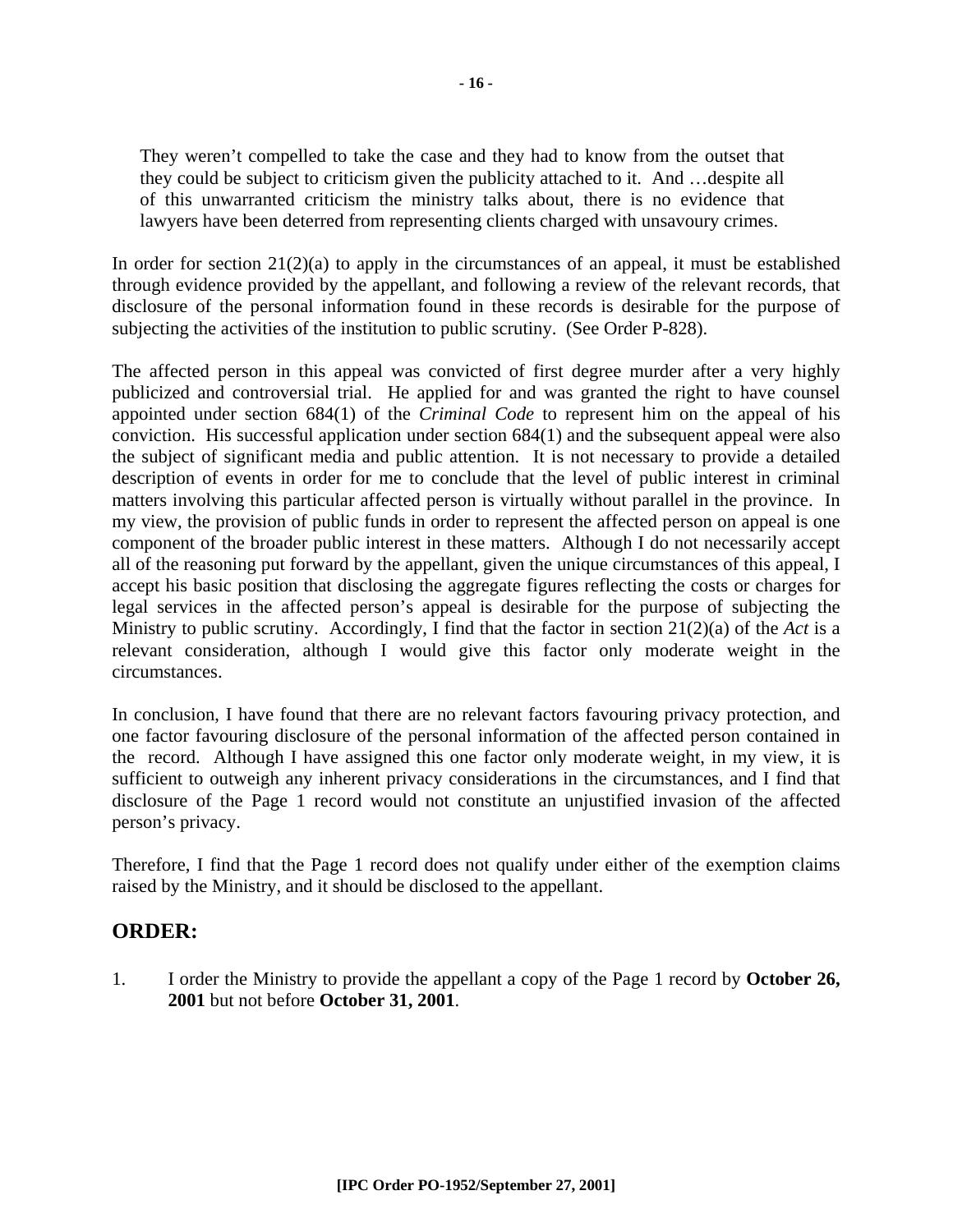They weren't compelled to take the case and they had to know from the outset that they could be subject to criticism given the publicity attached to it. And …despite all of this unwarranted criticism the ministry talks about, there is no evidence that lawyers have been deterred from representing clients charged with unsavoury crimes.

In order for section  $21(2)(a)$  to apply in the circumstances of an appeal, it must be established through evidence provided by the appellant, and following a review of the relevant records, that disclosure of the personal information found in these records is desirable for the purpose of subjecting the activities of the institution to public scrutiny. (See Order P-828).

The affected person in this appeal was convicted of first degree murder after a very highly publicized and controversial trial. He applied for and was granted the right to have counsel appointed under section 684(1) of the *Criminal Code* to represent him on the appeal of his conviction. His successful application under section 684(1) and the subsequent appeal were also the subject of significant media and public attention. It is not necessary to provide a detailed description of events in order for me to conclude that the level of public interest in criminal matters involving this particular affected person is virtually without parallel in the province. In my view, the provision of public funds in order to represent the affected person on appeal is one component of the broader public interest in these matters. Although I do not necessarily accept all of the reasoning put forward by the appellant, given the unique circumstances of this appeal, I accept his basic position that disclosing the aggregate figures reflecting the costs or charges for legal services in the affected person's appeal is desirable for the purpose of subjecting the Ministry to public scrutiny. Accordingly, I find that the factor in section 21(2)(a) of the *Act* is a relevant consideration, although I would give this factor only moderate weight in the circumstances.

In conclusion, I have found that there are no relevant factors favouring privacy protection, and one factor favouring disclosure of the personal information of the affected person contained in the record. Although I have assigned this one factor only moderate weight, in my view, it is sufficient to outweigh any inherent privacy considerations in the circumstances, and I find that disclosure of the Page 1 record would not constitute an unjustified invasion of the affected person's privacy.

Therefore, I find that the Page 1 record does not qualify under either of the exemption claims raised by the Ministry, and it should be disclosed to the appellant.

## **ORDER:**

1. I order the Ministry to provide the appellant a copy of the Page 1 record by **October 26, 2001** but not before **October 31, 2001**.